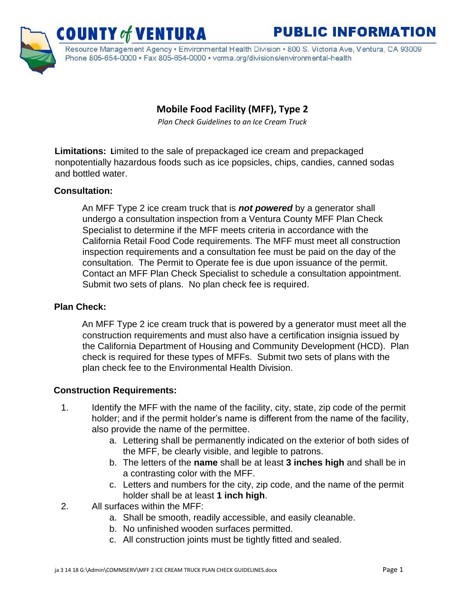# **PUBLIC INFORMATION**



Resource Management Agency · Environmental Health Division · 800 S. Victoria Ave, Ventura, CA 93009 Phone 805-654-0000 · Fax 805-654-0000 · vcrma.org/divisions/environmental-health

# **Mobile Food Facility (MFF), Type 2**

*Plan Check Guidelines to an Ice Cream Truck* 

**Limitations: L**imited to the sale of prepackaged ice cream and prepackaged nonpotentially hazardous foods such as ice popsicles, chips, candies, canned sodas and bottled water.

#### **Consultation:**

An MFF Type 2 ice cream truck that is *not powered* by a generator shall undergo a consultation inspection from a Ventura County MFF Plan Check Specialist to determine if the MFF meets criteria in accordance with the California Retail Food Code requirements. The MFF must meet all construction inspection requirements and a consultation fee must be paid on the day of the consultation. The Permit to Operate fee is due upon issuance of the permit. Contact an MFF Plan Check Specialist to schedule a consultation appointment. Submit two sets of plans. No plan check fee is required.

#### **Plan Check:**

An MFF Type 2 ice cream truck that is powered by a generator must meet all the construction requirements and must also have a certification insignia issued by the California Department of Housing and Community Development (HCD). Plan check is required for these types of MFFs. Submit two sets of plans with the plan check fee to the Environmental Health Division.

#### **Construction Requirements:**

- 1. Identify the MFF with the name of the facility, city, state, zip code of the permit holder; and if the permit holder's name is different from the name of the facility, also provide the name of the permittee.
	- a. Lettering shall be permanently indicated on the exterior of both sides of the MFF, be clearly visible, and legible to patrons.
	- b. The letters of the **name** shall be at least **3 inches high** and shall be in a contrasting color with the MFF.
	- c. Letters and numbers for the city, zip code, and the name of the permit holder shall be at least **1 inch high**.
- 2. All surfaces within the MFF:
	- a. Shall be smooth, readily accessible, and easily cleanable.
	- b. No unfinished wooden surfaces permitted.
	- c. All construction joints must be tightly fitted and sealed.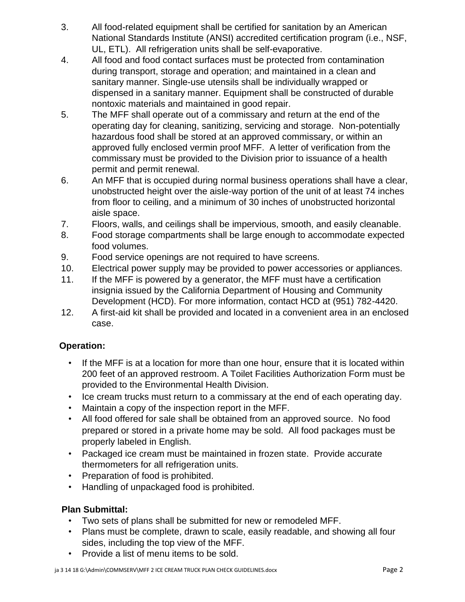- 3. All food-related equipment shall be certified for sanitation by an American National Standards Institute (ANSI) accredited certification program (i.e., NSF, UL, ETL). All refrigeration units shall be self-evaporative.
- 4. All food and food contact surfaces must be protected from contamination during transport, storage and operation; and maintained in a clean and sanitary manner. Single-use utensils shall be individually wrapped or dispensed in a sanitary manner. Equipment shall be constructed of durable nontoxic materials and maintained in good repair.
- 5. The MFF shall operate out of a commissary and return at the end of the operating day for cleaning, sanitizing, servicing and storage. Non-potentially hazardous food shall be stored at an approved commissary, or within an approved fully enclosed vermin proof MFF. A letter of verification from the commissary must be provided to the Division prior to issuance of a health permit and permit renewal.
- 6. An MFF that is occupied during normal business operations shall have a clear, unobstructed height over the aisle-way portion of the unit of at least 74 inches from floor to ceiling, and a minimum of 30 inches of unobstructed horizontal aisle space.
- 7. Floors, walls, and ceilings shall be impervious, smooth, and easily cleanable.
- 8. Food storage compartments shall be large enough to accommodate expected food volumes.
- 9. Food service openings are not required to have screens.
- 10. Electrical power supply may be provided to power accessories or appliances.
- 11. If the MFF is powered by a generator, the MFF must have a certification insignia issued by the California Department of Housing and Community Development (HCD). For more information, contact HCD at (951) 782-4420.
- 12. A first-aid kit shall be provided and located in a convenient area in an enclosed case.

## **Operation:**

- If the MFF is at a location for more than one hour, ensure that it is located within 200 feet of an approved restroom. A Toilet Facilities Authorization Form must be provided to the Environmental Health Division.
- Ice cream trucks must return to a commissary at the end of each operating day.
- Maintain a copy of the inspection report in the MFF.
- All food offered for sale shall be obtained from an approved source. No food prepared or stored in a private home may be sold. All food packages must be properly labeled in English.
- Packaged ice cream must be maintained in frozen state. Provide accurate thermometers for all refrigeration units.
- Preparation of food is prohibited.
- Handling of unpackaged food is prohibited.

## **Plan Submittal:**

- Two sets of plans shall be submitted for new or remodeled MFF.
- Plans must be complete, drawn to scale, easily readable, and showing all four sides, including the top view of the MFF.
- Provide a list of menu items to be sold.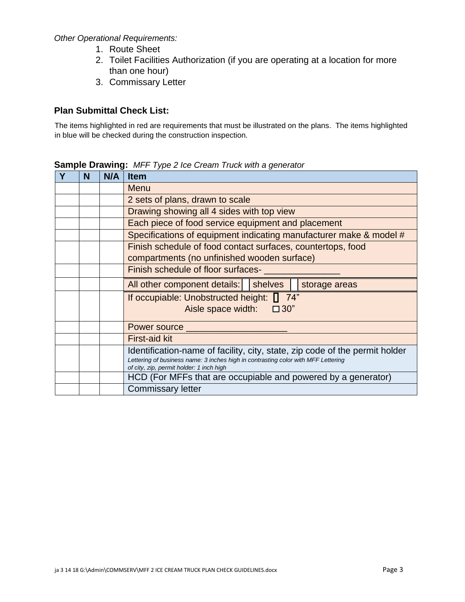*Other Operational Requirements:* 

- 1. Route Sheet
- 2. Toilet Facilities Authorization (if you are operating at a location for more than one hour)
- 3. Commissary Letter

#### **Plan Submittal Check List:**

The items highlighted in red are requirements that must be illustrated on the plans. The items highlighted in blue will be checked during the construction inspection.

| N | N/A | <b>Item</b>                                                                       |
|---|-----|-----------------------------------------------------------------------------------|
|   |     | Menu                                                                              |
|   |     | 2 sets of plans, drawn to scale                                                   |
|   |     | Drawing showing all 4 sides with top view                                         |
|   |     | Each piece of food service equipment and placement                                |
|   |     | Specifications of equipment indicating manufacturer make & model #                |
|   |     | Finish schedule of food contact surfaces, countertops, food                       |
|   |     | compartments (no unfinished wooden surface)                                       |
|   |     | Finish schedule of floor surfaces-                                                |
|   |     | All other component details:<br>shelves<br>storage areas                          |
|   |     | 74"<br>If occupiable: Unobstructed height: [                                      |
|   |     | Aisle space width: $\Box$ 30"                                                     |
|   |     | Power source                                                                      |
|   |     |                                                                                   |
|   |     | <b>First-aid kit</b>                                                              |
|   |     | Identification-name of facility, city, state, zip code of the permit holder       |
|   |     | Lettering of business name: 3 inches high in contrasting color with MFF Lettering |
|   |     | of city, zip, permit holder: 1 inch high                                          |
|   |     | HCD (For MFFs that are occupiable and powered by a generator)                     |
|   |     | <b>Commissary letter</b>                                                          |

**Sample Drawing:** *MFF Type 2 Ice Cream Truck with a generator*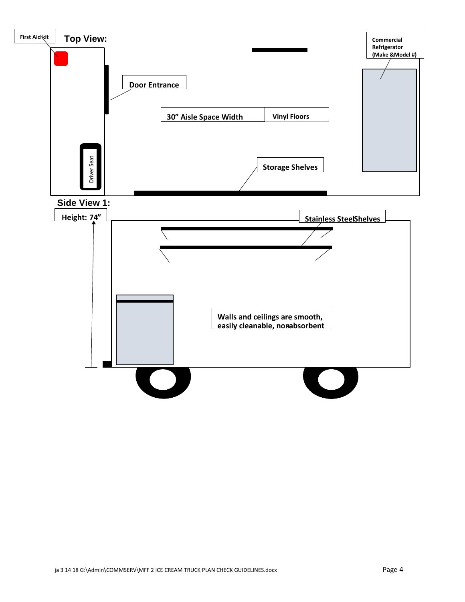